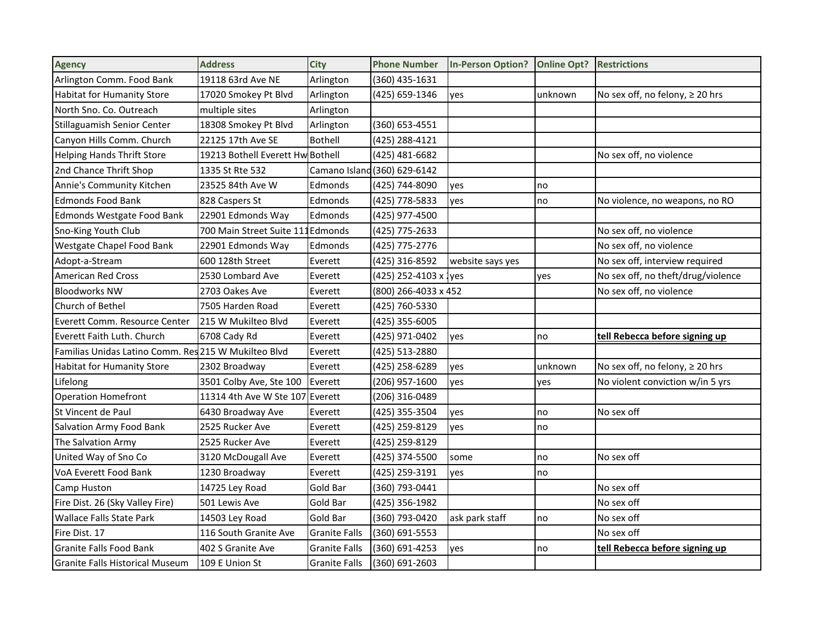| <b>Agency</b>                                        | <b>Address</b>                    | <b>City</b>          | <b>Phone Number</b>          | <b>In-Person Option?</b> | <b>Online Opt?</b> | <b>Restrictions</b>                |
|------------------------------------------------------|-----------------------------------|----------------------|------------------------------|--------------------------|--------------------|------------------------------------|
| Arlington Comm. Food Bank                            | 19118 63rd Ave NE                 | Arlington            | (360) 435-1631               |                          |                    |                                    |
| <b>Habitat for Humanity Store</b>                    | 17020 Smokey Pt Blvd              | Arlington            | (425) 659-1346               | yes                      | unknown            | No sex off, no felony, ≥ 20 hrs    |
| North Sno. Co. Outreach                              | multiple sites                    | Arlington            |                              |                          |                    |                                    |
| Stillaguamish Senior Center                          | 18308 Smokey Pt Blvd              | Arlington            | (360) 653-4551               |                          |                    |                                    |
| Canyon Hills Comm. Church                            | 22125 17th Ave SE                 | Bothell              | (425) 288-4121               |                          |                    |                                    |
| <b>Helping Hands Thrift Store</b>                    | 19213 Bothell Everett Hw Bothell  |                      | (425) 481-6682               |                          |                    | No sex off, no violence            |
| 2nd Chance Thrift Shop                               | 1335 St Rte 532                   |                      | Camano Island (360) 629-6142 |                          |                    |                                    |
| Annie's Community Kitchen                            | 23525 84th Ave W                  | Edmonds              | (425) 744-8090               | ves                      | no                 |                                    |
| <b>Edmonds Food Bank</b>                             | 828 Caspers St                    | Edmonds              | (425) 778-5833               | yes                      | no                 | No violence, no weapons, no RO     |
| <b>Edmonds Westgate Food Bank</b>                    | 22901 Edmonds Way                 | Edmonds              | (425) 977-4500               |                          |                    |                                    |
| Sno-King Youth Club                                  | 700 Main Street Suite 111 Edmonds |                      | (425) 775-2633               |                          |                    | No sex off, no violence            |
| Westgate Chapel Food Bank                            | 22901 Edmonds Way                 | Edmonds              | (425) 775-2776               |                          |                    | No sex off, no violence            |
| Adopt-a-Stream                                       | 600 128th Street                  | Everett              | (425) 316-8592               | website says yes         |                    | No sex off, interview required     |
| <b>American Red Cross</b>                            | 2530 Lombard Ave                  | Everett              | (425) 252-4103 x Jyes        |                          | yes                | No sex off, no theft/drug/violence |
| <b>Bloodworks NW</b>                                 | 2703 Oakes Ave                    | Everett              | (800) 266-4033 x 452         |                          |                    | No sex off, no violence            |
| Church of Bethel                                     | 7505 Harden Road                  | Everett              | (425) 760-5330               |                          |                    |                                    |
| Everett Comm. Resource Center                        | 215 W Mukilteo Blvd               | Everett              | (425) 355-6005               |                          |                    |                                    |
| Everett Faith Luth. Church                           | 6708 Cady Rd                      | Everett              | (425) 971-0402               | yes                      | no                 | tell Rebecca before signing up     |
| Familias Unidas Latino Comm. Res 215 W Mukilteo Blvd |                                   | Everett              | (425) 513-2880               |                          |                    |                                    |
| Habitat for Humanity Store                           | 2302 Broadway                     | Everett              | (425) 258-6289               | yes                      | unknown            | No sex off, no felony, ≥ 20 hrs    |
| Lifelong                                             | 3501 Colby Ave, Ste 100           | Everett              | (206) 957-1600               | yes                      | yes                | No violent conviction w/in 5 yrs   |
| <b>Operation Homefront</b>                           | 11314 4th Ave W Ste 107           | Everett              | (206) 316-0489               |                          |                    |                                    |
| St Vincent de Paul                                   | 6430 Broadway Ave                 | Everett              | (425) 355-3504               | yes                      | no                 | No sex off                         |
| <b>Salvation Army Food Bank</b>                      | 2525 Rucker Ave                   | Everett              | (425) 259-8129               | yes                      | no                 |                                    |
| The Salvation Army                                   | 2525 Rucker Ave                   | Everett              | (425) 259-8129               |                          |                    |                                    |
| United Way of Sno Co                                 | 3120 McDougall Ave                | Everett              | (425) 374-5500               | some                     | no                 | No sex off                         |
| VoA Everett Food Bank                                | 1230 Broadway                     | Everett              | (425) 259-3191               | yes                      | no                 |                                    |
| Camp Huston                                          | 14725 Ley Road                    | Gold Bar             | (360) 793-0441               |                          |                    | No sex off                         |
| Fire Dist. 26 (Sky Valley Fire)                      | 501 Lewis Ave                     | Gold Bar             | (425) 356-1982               |                          |                    | No sex off                         |
| <b>Wallace Falls State Park</b>                      | 14503 Ley Road                    | Gold Bar             | (360) 793-0420               | ask park staff           | no                 | No sex off                         |
| Fire Dist. 17                                        | 116 South Granite Ave             | <b>Granite Falls</b> | (360) 691-5553               |                          |                    | No sex off                         |
| <b>Granite Falls Food Bank</b>                       | 402 S Granite Ave                 | <b>Granite Falls</b> | (360) 691-4253               | yes                      | no                 | tell Rebecca before signing up     |
| Granite Falls Historical Museum                      | 109 E Union St                    | <b>Granite Falls</b> | (360) 691-2603               |                          |                    |                                    |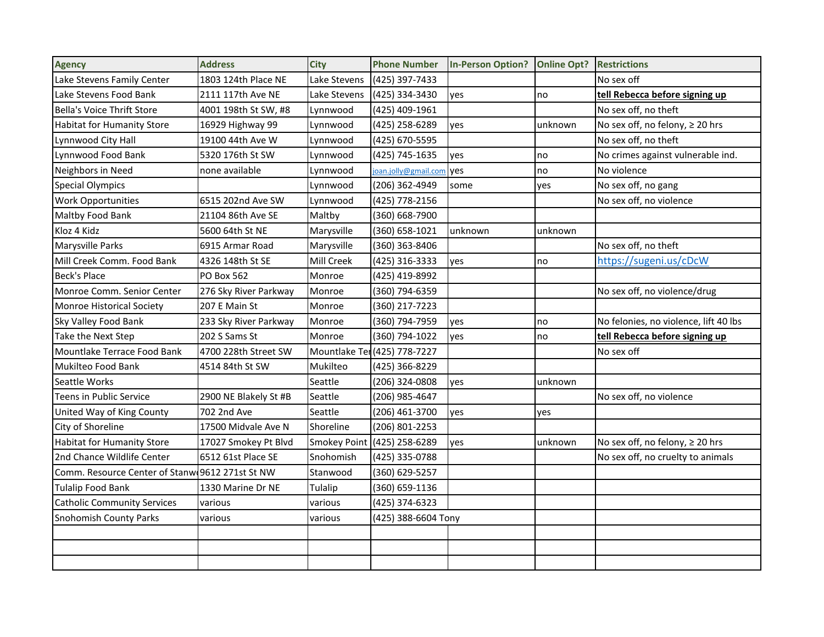| <b>Agency</b>                                   | <b>Address</b>        | <b>City</b>         | <b>Phone Number</b>  | <b>In-Person Option?</b> | <b>Online Opt?</b> | <b>Restrictions</b>                   |
|-------------------------------------------------|-----------------------|---------------------|----------------------|--------------------------|--------------------|---------------------------------------|
| Lake Stevens Family Center                      | 1803 124th Place NE   | Lake Stevens        | (425) 397-7433       |                          |                    | No sex off                            |
| Lake Stevens Food Bank                          | 2111 117th Ave NE     | Lake Stevens        | (425) 334-3430       | yes                      | no                 | tell Rebecca before signing up        |
| Bella's Voice Thrift Store                      | 4001 198th St SW, #8  | Lynnwood            | (425) 409-1961       |                          |                    | No sex off, no theft                  |
| <b>Habitat for Humanity Store</b>               | 16929 Highway 99      | Lynnwood            | (425) 258-6289       | yes                      | unknown            | No sex off, no felony, ≥ 20 hrs       |
| Lynnwood City Hall                              | 19100 44th Ave W      | Lynnwood            | (425) 670-5595       |                          |                    | No sex off, no theft                  |
| Lynnwood Food Bank                              | 5320 176th St SW      | Lynnwood            | (425) 745-1635       | yes                      | no                 | No crimes against vulnerable ind.     |
| Neighbors in Need                               | none available        | Lynnwood            | joan.jolly@gmail.con | <b>ves</b>               | no                 | No violence                           |
| <b>Special Olympics</b>                         |                       | Lynnwood            | (206) 362-4949       | some                     | yes                | No sex off, no gang                   |
| <b>Work Opportunities</b>                       | 6515 202nd Ave SW     | Lynnwood            | (425) 778-2156       |                          |                    | No sex off, no violence               |
| Maltby Food Bank                                | 21104 86th Ave SE     | Maltby              | (360) 668-7900       |                          |                    |                                       |
| Kloz 4 Kidz                                     | 5600 64th St NE       | Marysville          | (360) 658-1021       | unknown                  | unknown            |                                       |
| Marysville Parks                                | 6915 Armar Road       | Marysville          | (360) 363-8406       |                          |                    | No sex off, no theft                  |
| Mill Creek Comm. Food Bank                      | 4326 148th St SE      | Mill Creek          | (425) 316-3333       | yes                      | no                 | https://sugeni.us/cDcW                |
| <b>Beck's Place</b>                             | PO Box 562            | Monroe              | (425) 419-8992       |                          |                    |                                       |
| Monroe Comm. Senior Center                      | 276 Sky River Parkway | Monroe              | (360) 794-6359       |                          |                    | No sex off, no violence/drug          |
| Monroe Historical Society                       | 207 E Main St         | Monroe              | (360) 217-7223       |                          |                    |                                       |
| Sky Valley Food Bank                            | 233 Sky River Parkway | Monroe              | (360) 794-7959       | yes                      | no                 | No felonies, no violence, lift 40 lbs |
| Take the Next Step                              | 202 S Sams St         | Monroe              | (360) 794-1022       | yes                      | no                 | tell Rebecca before signing up        |
| Mountlake Terrace Food Bank                     | 4700 228th Street SW  | Mountlake Te        | 1(425) 778-7227      |                          |                    | No sex off                            |
| Mukilteo Food Bank                              | 4514 84th St SW       | Mukilteo            | (425) 366-8229       |                          |                    |                                       |
| Seattle Works                                   |                       | Seattle             | (206) 324-0808       | yes                      | unknown            |                                       |
| Teens in Public Service                         | 2900 NE Blakely St #B | Seattle             | (206) 985-4647       |                          |                    | No sex off, no violence               |
| United Way of King County                       | 702 2nd Ave           | Seattle             | (206) 461-3700       | yes                      | yes                |                                       |
| City of Shoreline                               | 17500 Midvale Ave N   | Shoreline           | (206) 801-2253       |                          |                    |                                       |
| <b>Habitat for Humanity Store</b>               | 17027 Smokey Pt Blvd  | <b>Smokey Point</b> | (425) 258-6289       | yes                      | unknown            | No sex off, no felony, ≥ 20 hrs       |
| 2nd Chance Wildlife Center                      | 6512 61st Place SE    | Snohomish           | (425) 335-0788       |                          |                    | No sex off, no cruelty to animals     |
| Comm. Resource Center of Stanw 9612 271st St NW |                       | Stanwood            | (360) 629-5257       |                          |                    |                                       |
| <b>Tulalip Food Bank</b>                        | 1330 Marine Dr NE     | Tulalip             | (360) 659-1136       |                          |                    |                                       |
| <b>Catholic Community Services</b>              | various               | various             | (425) 374-6323       |                          |                    |                                       |
| <b>Snohomish County Parks</b>                   | various               | various             | (425) 388-6604 Tony  |                          |                    |                                       |
|                                                 |                       |                     |                      |                          |                    |                                       |
|                                                 |                       |                     |                      |                          |                    |                                       |
|                                                 |                       |                     |                      |                          |                    |                                       |